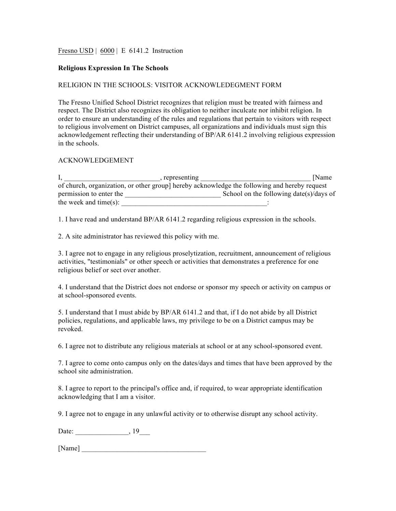Fresno USD | 6000 | E 6141.2 Instruction

## **Religious Expression In The Schools**

## RELIGION IN THE SCHOOLS: VISITOR ACKNOWLEDEGMENT FORM

The Fresno Unified School District recognizes that religion must be treated with fairness and respect. The District also recognizes its obligation to neither inculcate nor inhibit religion. In order to ensure an understanding of the rules and regulations that pertain to visitors with respect to religious involvement on District campuses, all organizations and individuals must sign this acknowledgement reflecting their understanding of BP/AR 6141.2 involving religious expression in the schools.

## ACKNOWLEDGEMENT

| , representing            | <b>Name</b>                                                                                  |
|---------------------------|----------------------------------------------------------------------------------------------|
|                           | of church, organization, or other group] hereby acknowledge the following and hereby request |
| permission to enter the   | School on the following date(s)/days of                                                      |
| the week and time $(s)$ : |                                                                                              |

1. I have read and understand BP/AR 6141.2 regarding religious expression in the schools.

2. A site administrator has reviewed this policy with me.

3. I agree not to engage in any religious proselytization, recruitment, announcement of religious activities, "testimonials" or other speech or activities that demonstrates a preference for one religious belief or sect over another.

4. I understand that the District does not endorse or sponsor my speech or activity on campus or at school-sponsored events.

5. I understand that I must abide by BP/AR 6141.2 and that, if I do not abide by all District policies, regulations, and applicable laws, my privilege to be on a District campus may be revoked.

6. I agree not to distribute any religious materials at school or at any school-sponsored event.

7. I agree to come onto campus only on the dates/days and times that have been approved by the school site administration.

8. I agree to report to the principal's office and, if required, to wear appropriate identification acknowledging that I am a visitor.

9. I agree not to engage in any unlawful activity or to otherwise disrupt any school activity.

Date: \_\_\_\_\_\_\_\_\_\_\_\_\_\_\_\_\_, 19\_\_\_\_

[Name] \_\_\_\_\_\_\_\_\_\_\_\_\_\_\_\_\_\_\_\_\_\_\_\_\_\_\_\_\_\_\_\_\_\_\_